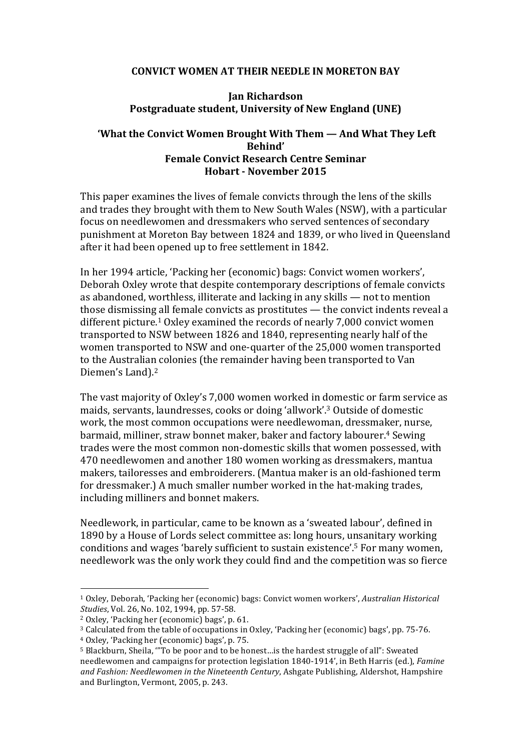## **CONVICT WOMEN AT THEIR NEEDLE IN MORETON BAY**

## **Jan Richardson Postgraduate student, University of New England (UNE)**

## **'What the Convict Women Brought With Them — And What They Left Behind' Female Convict Research Centre Seminar Hobart - November 2015**

This paper examines the lives of female convicts through the lens of the skills and trades they brought with them to New South Wales (NSW), with a particular focus on needlewomen and dressmakers who served sentences of secondary punishment at Moreton Bay between 1824 and 1839, or who lived in Queensland after it had been opened up to free settlement in 1842.

In her 1994 article, 'Packing her (economic) bags: Convict women workers', Deborah Oxley wrote that despite contemporary descriptions of female convicts as abandoned, worthless, illiterate and lacking in any skills  $-$  not to mention those dismissing all female convicts as prostitutes — the convict indents reveal a different picture.<sup>1</sup> Oxley examined the records of nearly 7,000 convict women transported to NSW between 1826 and 1840, representing nearly half of the women transported to NSW and one-quarter of the 25,000 women transported to the Australian colonies (the remainder having been transported to Van Diemen's Land).<sup>2</sup>

The vast majority of Oxley's 7,000 women worked in domestic or farm service as maids, servants, laundresses, cooks or doing 'allwork'.<sup>3</sup> Outside of domestic work, the most common occupations were needlewoman, dressmaker, nurse, barmaid, milliner, straw bonnet maker, baker and factory labourer.<sup>4</sup> Sewing trades were the most common non-domestic skills that women possessed, with 470 needlewomen and another 180 women working as dressmakers, mantua makers, tailoresses and embroiderers. (Mantua maker is an old-fashioned term for dressmaker.) A much smaller number worked in the hat-making trades, including milliners and bonnet makers.

Needlework, in particular, came to be known as a 'sweated labour', defined in 1890 by a House of Lords select committee as: long hours, unsanitary working conditions and wages 'barely sufficient to sustain existence'.<sup>5</sup> For many women, needlework was the only work they could find and the competition was so fierce

<sup>&</sup>lt;sup>1</sup> Oxley, Deborah, 'Packing her (economic) bags: Convict women workers', *Australian Historical Studies*, *Vol.* 26, *No.* 102, 1994, pp. 57-58.

<sup>&</sup>lt;sup>2</sup> Oxley, 'Packing her (economic) bags', p. 61.

 $3$  Calculated from the table of occupations in Oxley, 'Packing her (economic) bags', pp. 75-76.

<sup>&</sup>lt;sup>4</sup> Oxley, 'Packing her (economic) bags', p. 75.

<sup>&</sup>lt;sup>5</sup> Blackburn, Sheila, "'To be poor and to be honest... is the hardest struggle of all": Sweated needlewomen and campaigns for protection legislation 1840-1914', in Beth Harris (ed.), *Famine* and Fashion: Needlewomen in the Nineteenth Century, Ashgate Publishing, Aldershot, Hampshire and Burlington, Vermont, 2005, p. 243.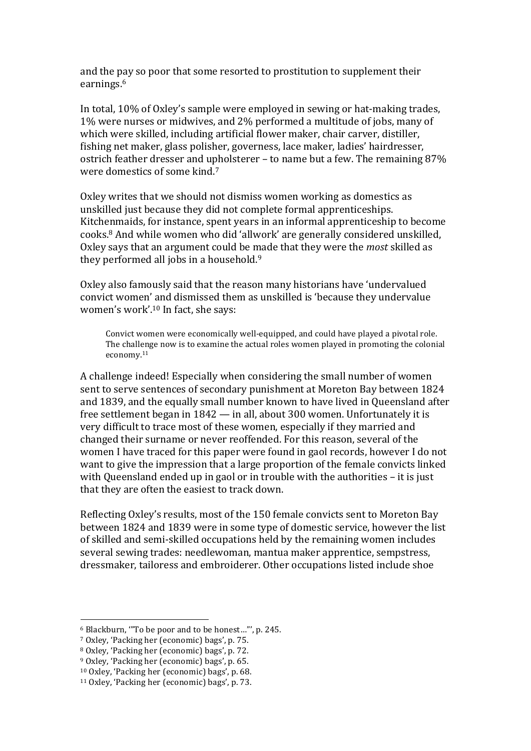and the pay so poor that some resorted to prostitution to supplement their earnings. 6

In total, 10% of Oxley's sample were employed in sewing or hat-making trades, 1% were nurses or midwives, and 2% performed a multitude of jobs, many of which were skilled, including artificial flower maker, chair carver, distiller, fishing net maker, glass polisher, governess, lace maker, ladies' hairdresser, ostrich feather dresser and upholsterer – to name but a few. The remaining  $87\%$ were domestics of some kind.<sup>7</sup>

Oxley writes that we should not dismiss women working as domestics as unskilled just because they did not complete formal apprenticeships. Kitchenmaids, for instance, spent years in an informal apprenticeship to become cooks.<sup>8</sup> And while women who did 'allwork' are generally considered unskilled, Oxley says that an argument could be made that they were the *most* skilled as they performed all jobs in a household. $9$ 

Oxley also famously said that the reason many historians have 'undervalued convict women' and dismissed them as unskilled is 'because they undervalue women's work'. $10$  In fact, she says:

Convict women were economically well-equipped, and could have played a pivotal role. The challenge now is to examine the actual roles women played in promoting the colonial economy.11

A challenge indeed! Especially when considering the small number of women sent to serve sentences of secondary punishment at Moreton Bay between 1824 and 1839, and the equally small number known to have lived in Queensland after free settlement began in  $1842 -$  in all, about 300 women. Unfortunately it is very difficult to trace most of these women, especially if they married and changed their surname or never reoffended. For this reason, several of the women I have traced for this paper were found in gaol records, however I do not want to give the impression that a large proportion of the female convicts linked with Queensland ended up in gaol or in trouble with the authorities  $-$  it is just that they are often the easiest to track down.

Reflecting Oxley's results, most of the 150 female convicts sent to Moreton Bay between 1824 and 1839 were in some type of domestic service, however the list of skilled and semi-skilled occupations held by the remaining women includes several sewing trades: needlewoman, mantua maker apprentice, sempstress, dressmaker, tailoress and embroiderer. Other occupations listed include shoe

 $6$  Blackburn, "To be poor and to be honest..."', p. 245.

<sup>&</sup>lt;sup>7</sup> Oxley, 'Packing her (economic) bags', p. 75.

<sup>8</sup> Oxley, 'Packing her (economic) bags', p. 72.

 $9$  Oxley, 'Packing her (economic) bags', p. 65.

<sup>&</sup>lt;sup>10</sup> Oxlev, 'Packing her (economic) bags', p. 68.

<sup>&</sup>lt;sup>11</sup> Oxley, 'Packing her (economic) bags', p. 73.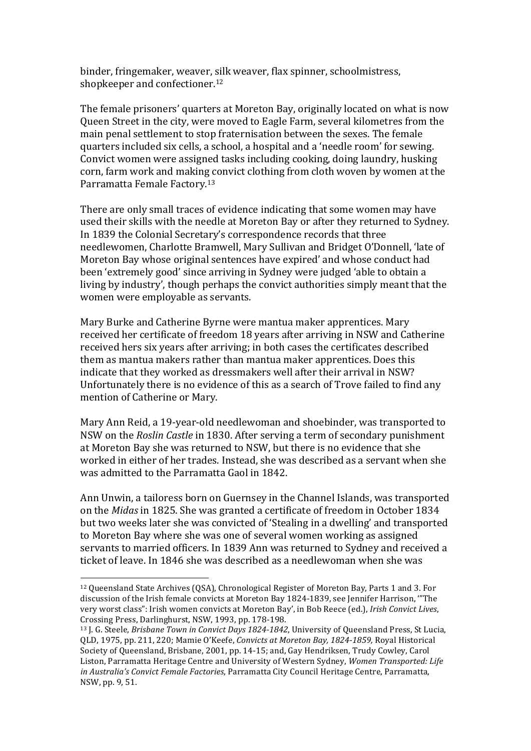binder, fringemaker, weaver, silk weaver, flax spinner, schoolmistress, shopkeeper and confectioner.<sup>12</sup>

The female prisoners' quarters at Moreton Bay, originally located on what is now Oueen Street in the city, were moved to Eagle Farm, several kilometres from the main penal settlement to stop fraternisation between the sexes. The female quarters included six cells, a school, a hospital and a 'needle room' for sewing. Convict women were assigned tasks including cooking, doing laundry, husking corn, farm work and making convict clothing from cloth woven by women at the Parramatta Female Factory.<sup>13</sup>

There are only small traces of evidence indicating that some women may have used their skills with the needle at Moreton Bay or after they returned to Sydney. In 1839 the Colonial Secretary's correspondence records that three needlewomen, Charlotte Bramwell, Mary Sullivan and Bridget O'Donnell, 'late of Moreton Bay whose original sentences have expired' and whose conduct had been 'extremely good' since arriving in Sydney were judged 'able to obtain a living by industry', though perhaps the convict authorities simply meant that the women were employable as servants.

Mary Burke and Catherine Byrne were mantua maker apprentices. Mary received her certificate of freedom 18 years after arriving in NSW and Catherine received hers six years after arriving; in both cases the certificates described them as mantua makers rather than mantua maker apprentices. Does this indicate that they worked as dressmakers well after their arrival in NSW? Unfortunately there is no evidence of this as a search of Trove failed to find any mention of Catherine or Mary.

Mary Ann Reid, a 19-year-old needlewoman and shoebinder, was transported to NSW on the *Roslin Castle* in 1830. After serving a term of secondary punishment at Moreton Bay she was returned to NSW, but there is no evidence that she worked in either of her trades. Instead, she was described as a servant when she was admitted to the Parramatta Gaol in 1842.

Ann Unwin, a tailoress born on Guernsey in the Channel Islands, was transported on the *Midas* in 1825. She was granted a certificate of freedom in October 1834 but two weeks later she was convicted of 'Stealing in a dwelling' and transported to Moreton Bay where she was one of several women working as assigned servants to married officers. In 1839 Ann was returned to Sydney and received a ticket of leave. In 1846 she was described as a needlewoman when she was

<sup>&</sup>lt;sup>12</sup> Oueensland State Archives (OSA), Chronological Register of Moreton Bay, Parts 1 and 3. For discussion of the Irish female convicts at Moreton Bay 1824-1839, see Jennifer Harrison, "The very worst class": Irish women convicts at Moreton Bay', in Bob Reece (ed.), *Irish Convict Lives*, Crossing Press, Darlinghurst, NSW, 1993, pp. 178-198.

<sup>&</sup>lt;sup>13</sup> J. G. Steele, *Brisbane Town in Convict Days 1824-1842*, University of Queensland Press, St Lucia, QLD, 1975, pp. 211, 220; Mamie O'Keefe, *Convicts at Moreton Bay, 1824-1859,* Royal Historical Society of Queensland, Brisbane, 2001, pp. 14-15; and, Gay Hendriksen, Trudy Cowley, Carol Liston, Parramatta Heritage Centre and University of Western Sydney, *Women Transported: Life* in Australia's Convict Female Factories, Parramatta City Council Heritage Centre, Parramatta, NSW, pp. 9, 51.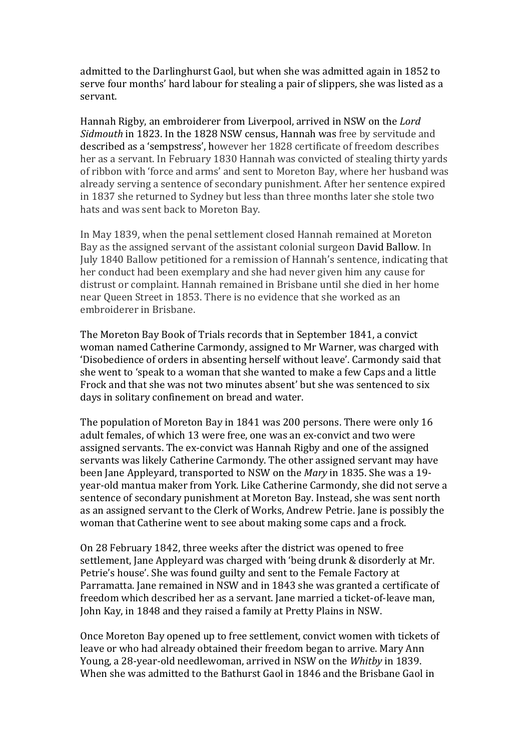admitted to the Darlinghurst Gaol, but when she was admitted again in 1852 to serve four months' hard labour for stealing a pair of slippers, she was listed as a servant.

Hannah Rigby, an embroiderer from Liverpool, arrived in NSW on the *Lord Sidmouth* in 1823. In the 1828 NSW census, Hannah was free by servitude and described as a 'sempstress', however her 1828 certificate of freedom describes her as a servant. In February 1830 Hannah was convicted of stealing thirty yards of ribbon with 'force and arms' and sent to Moreton Bay, where her husband was already serving a sentence of secondary punishment. After her sentence expired in 1837 she returned to Sydney but less than three months later she stole two hats and was sent back to Moreton Bay.

In May 1839, when the penal settlement closed Hannah remained at Moreton Bay as the assigned servant of the assistant colonial surgeon David Ballow. In July 1840 Ballow petitioned for a remission of Hannah's sentence, indicating that her conduct had been exemplary and she had never given him any cause for distrust or complaint. Hannah remained in Brisbane until she died in her home near Queen Street in 1853. There is no evidence that she worked as an embroiderer in Brisbane.

The Moreton Bay Book of Trials records that in September 1841, a convict woman named Catherine Carmondy, assigned to Mr Warner, was charged with 'Disobedience of orders in absenting herself without leave'. Carmondy said that she went to 'speak to a woman that she wanted to make a few Caps and a little Frock and that she was not two minutes absent' but she was sentenced to six days in solitary confinement on bread and water.

The population of Moreton Bay in 1841 was 200 persons. There were only 16 adult females, of which 13 were free, one was an ex-convict and two were assigned servants. The ex-convict was Hannah Rigby and one of the assigned servants was likely Catherine Carmondy. The other assigned servant may have been Jane Appleyard, transported to NSW on the *Mary* in 1835. She was a 19year-old mantua maker from York. Like Catherine Carmondy, she did not serve a sentence of secondary punishment at Moreton Bay. Instead, she was sent north as an assigned servant to the Clerk of Works, Andrew Petrie. Jane is possibly the woman that Catherine went to see about making some caps and a frock.

On 28 February 1842, three weeks after the district was opened to free settlement, Jane Appleyard was charged with 'being drunk & disorderly at Mr. Petrie's house'. She was found guilty and sent to the Female Factory at Parramatta. Jane remained in NSW and in 1843 she was granted a certificate of freedom which described her as a servant. Jane married a ticket-of-leave man, John Kay, in 1848 and they raised a family at Pretty Plains in NSW.

Once Moreton Bay opened up to free settlement, convict women with tickets of leave or who had already obtained their freedom began to arrive. Mary Ann Young, a 28-year-old needlewoman, arrived in NSW on the *Whitby* in 1839. When she was admitted to the Bathurst Gaol in 1846 and the Brisbane Gaol in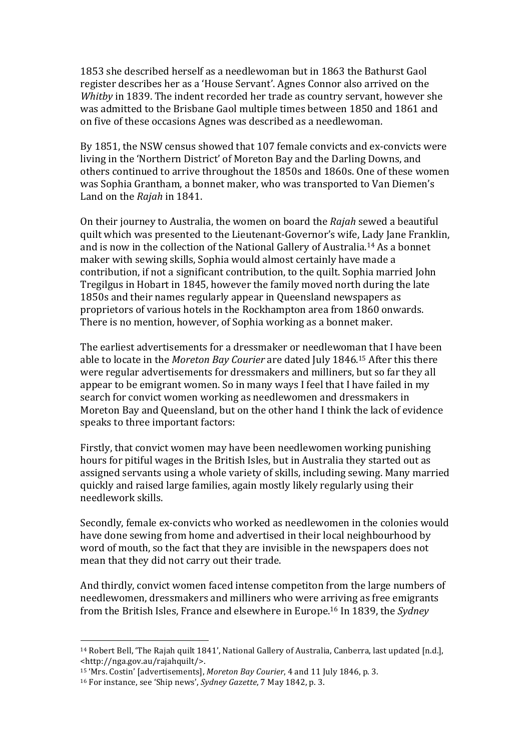1853 she described herself as a needlewoman but in 1863 the Bathurst Gaol register describes her as a 'House Servant'. Agnes Connor also arrived on the *Whitby* in 1839. The indent recorded her trade as country servant, however she was admitted to the Brisbane Gaol multiple times between 1850 and 1861 and on five of these occasions Agnes was described as a needlewoman.

By 1851, the NSW census showed that 107 female convicts and ex-convicts were living in the 'Northern District' of Moreton Bay and the Darling Downs, and others continued to arrive throughout the 1850s and 1860s. One of these women was Sophia Grantham, a bonnet maker, who was transported to Van Diemen's Land on the *Rajah* in 1841.

On their journey to Australia, the women on board the *Rajah* sewed a beautiful quilt which was presented to the Lieutenant-Governor's wife, Lady Jane Franklin, and is now in the collection of the National Gallery of Australia.<sup>14</sup> As a bonnet maker with sewing skills, Sophia would almost certainly have made a contribution, if not a significant contribution, to the quilt. Sophia married John Tregilgus in Hobart in 1845, however the family moved north during the late 1850s and their names regularly appear in Queensland newspapers as proprietors of various hotels in the Rockhampton area from 1860 onwards. There is no mention, however, of Sophia working as a bonnet maker.

The earliest advertisements for a dressmaker or needlewoman that I have been able to locate in the *Moreton Bay Courier* are dated July 1846.<sup>15</sup> After this there were regular advertisements for dressmakers and milliners, but so far they all appear to be emigrant women. So in many ways I feel that I have failed in my search for convict women working as needlewomen and dressmakers in Moreton Bay and Queensland, but on the other hand I think the lack of evidence speaks to three important factors:

Firstly, that convict women may have been needlewomen working punishing hours for pitiful wages in the British Isles, but in Australia they started out as assigned servants using a whole variety of skills, including sewing. Many married quickly and raised large families, again mostly likely regularly using their needlework skills.

Secondly, female ex-convicts who worked as needlewomen in the colonies would have done sewing from home and advertised in their local neighbourhood by word of mouth, so the fact that they are invisible in the newspapers does not mean that they did not carry out their trade.

And thirdly, convict women faced intense competiton from the large numbers of needlewomen, dressmakers and milliners who were arriving as free emigrants from the British Isles, France and elsewhere in Europe.<sup>16</sup> In 1839, the *Sydney* 

<sup>&</sup>lt;sup>14</sup> Robert Bell, 'The Rajah quilt 1841', National Gallery of Australia, Canberra, last updated [n.d.], <http://nga.gov.au/rajahquilt/>.

<sup>&</sup>lt;sup>15</sup> 'Mrs. Costin' [advertisements], *Moreton Bay Courier*, 4 and 11 July 1846, p. 3.

<sup>&</sup>lt;sup>16</sup> For instance, see 'Ship news', *Sydney Gazette*, 7 May 1842, p. 3.